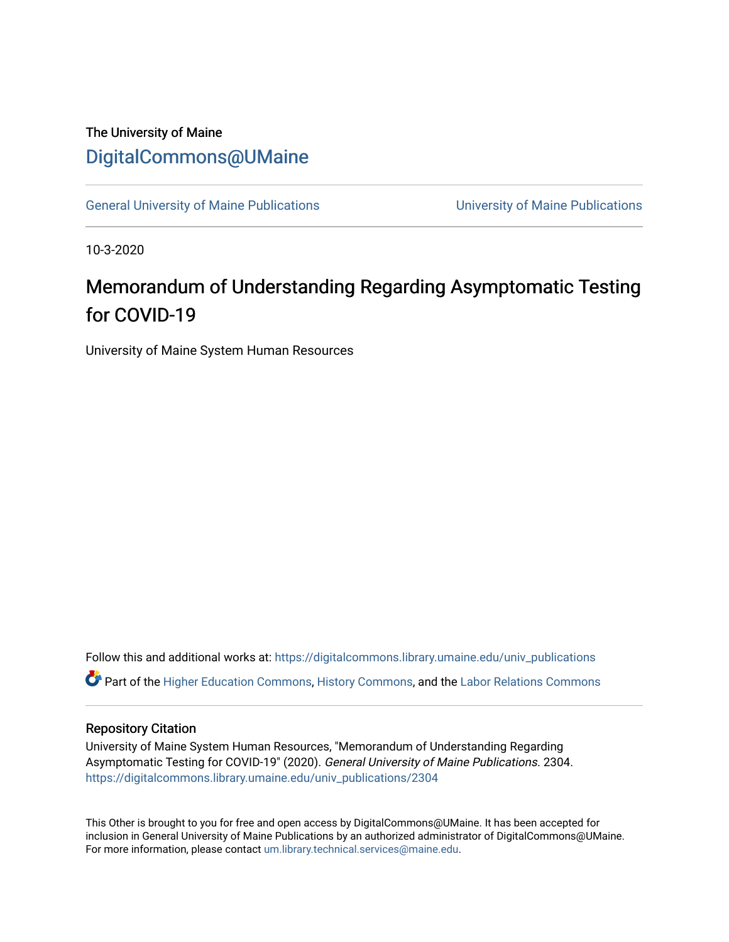## The University of Maine [DigitalCommons@UMaine](https://digitalcommons.library.umaine.edu/)

[General University of Maine Publications](https://digitalcommons.library.umaine.edu/univ_publications) [University of Maine Publications](https://digitalcommons.library.umaine.edu/umaine_publications) 

10-3-2020

## Memorandum of Understanding Regarding Asymptomatic Testing for COVID-19

University of Maine System Human Resources

Follow this and additional works at: [https://digitalcommons.library.umaine.edu/univ\\_publications](https://digitalcommons.library.umaine.edu/univ_publications?utm_source=digitalcommons.library.umaine.edu%2Funiv_publications%2F2304&utm_medium=PDF&utm_campaign=PDFCoverPages)  Part of the [Higher Education Commons,](http://network.bepress.com/hgg/discipline/1245?utm_source=digitalcommons.library.umaine.edu%2Funiv_publications%2F2304&utm_medium=PDF&utm_campaign=PDFCoverPages) [History Commons,](http://network.bepress.com/hgg/discipline/489?utm_source=digitalcommons.library.umaine.edu%2Funiv_publications%2F2304&utm_medium=PDF&utm_campaign=PDFCoverPages) and the [Labor Relations Commons](http://network.bepress.com/hgg/discipline/635?utm_source=digitalcommons.library.umaine.edu%2Funiv_publications%2F2304&utm_medium=PDF&utm_campaign=PDFCoverPages) 

## Repository Citation

University of Maine System Human Resources, "Memorandum of Understanding Regarding Asymptomatic Testing for COVID-19" (2020). General University of Maine Publications. 2304. [https://digitalcommons.library.umaine.edu/univ\\_publications/2304](https://digitalcommons.library.umaine.edu/univ_publications/2304?utm_source=digitalcommons.library.umaine.edu%2Funiv_publications%2F2304&utm_medium=PDF&utm_campaign=PDFCoverPages)

This Other is brought to you for free and open access by DigitalCommons@UMaine. It has been accepted for inclusion in General University of Maine Publications by an authorized administrator of DigitalCommons@UMaine. For more information, please contact [um.library.technical.services@maine.edu](mailto:um.library.technical.services@maine.edu).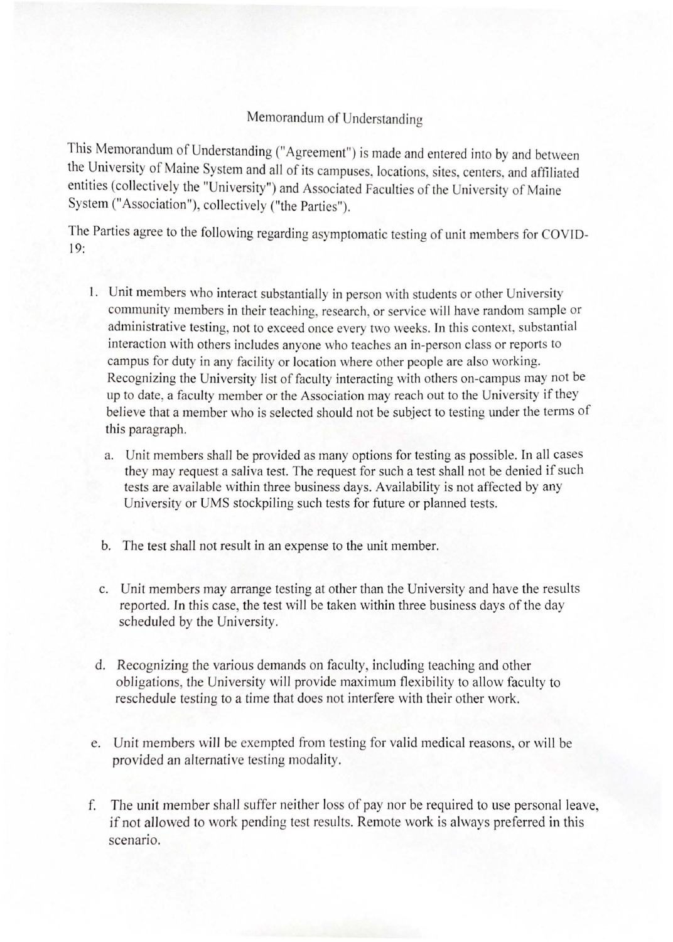## Memorandum of Understanding

This Memorandum of Understanding ("Agreement") is made and entered into by and between the University of Maine System and all of its campuses, locations, sites, centers, and affiliated entities (collectively the "University") and Associated Faculties of the University of Maine System ("Association"), collectively ("the Parties").

The Parties agree to the following regarding asymptomatic testing of *unit* members for COVID-19:

- 1. Unit members who interact substantially in person with students or other University community members in their teaching, research, or service will have random sample or administrative testing, not to exceed once every two weeks. In this context, substantial interaction with others includes anyone who teaches an in-person class or reports to campus for duty in any facility or location where other people are also working. Recognizing the University list of faculty interacting with others on-campus may not be up to date, a faculty member or the Association may reach out to the University if they believe that a member who is selected should not be subject to testing under the terms of this paragraph.
	- a. Unit members shall be provided as many options for testing as possible. In all cases they may request a saliva test. The request for such a test shall not be denied if such tests are available within three business days. Availability is not affected by any University or UMS stockpiling such tests for future or planned tests.
	- b. The test shall not result in an expense to the unit member.
	- c. Unit members may arrange testing at other than the University and have the results reported. Jn this case, the test will be taken within three business days of the day scheduled by the University.
	- d. Recognizing the various demands on faculty, including teaching and other obligations, the University will provide maximum flexibility to allow faculty to reschedule testing to a time that does not interfere with their other work.
- e. Unit members will be exempted from testing for valid medical reasons, or will be provided an alternative testing modality.
- f. The unit member shall suffer neither loss of pay nor be required to use personal leave, if not allowed to work pending test results. Remote work is always preferred in this scenario.